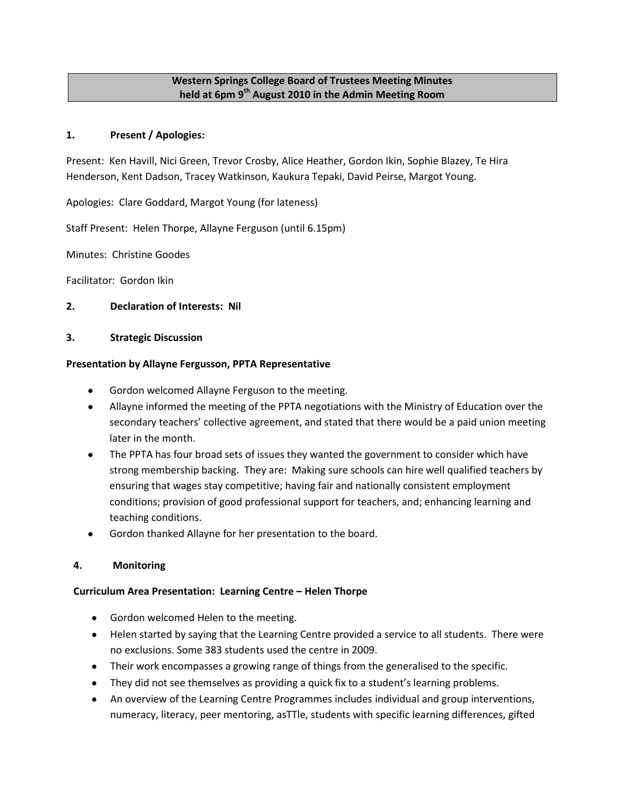# **Western Springs College Board of Trustees Meeting Minutes held at 6pm 9th August 2010 in the Admin Meeting Room**

## **1. Present / Apologies:**

Present: Ken Havill, Nici Green, Trevor Crosby, Alice Heather, Gordon Ikin, Sophie Blazey, Te Hira Henderson, Kent Dadson, Tracey Watkinson, Kaukura Tepaki, David Peirse, Margot Young.

Apologies: Clare Goddard, Margot Young (for lateness)

Staff Present: Helen Thorpe, Allayne Ferguson (until 6.15pm)

Minutes: Christine Goodes

Facilitator: Gordon Ikin

## **2. Declaration of Interests: Nil**

## **3. Strategic Discussion**

#### **Presentation by Allayne Fergusson, PPTA Representative**

- Gordon welcomed Allayne Ferguson to the meeting.
- Allayne informed the meeting of the PPTA negotiations with the Ministry of Education over the secondary teachers' collective agreement, and stated that there would be a paid union meeting later in the month.
- The PPTA has four broad sets of issues they wanted the government to consider which have strong membership backing. They are: Making sure schools can hire well qualified teachers by ensuring that wages stay competitive; having fair and nationally consistent employment conditions; provision of good professional support for teachers, and; enhancing learning and teaching conditions.
- Gordon thanked Allayne for her presentation to the board.

## **4. Monitoring**

## **Curriculum Area Presentation: Learning Centre – Helen Thorpe**

- **Gordon welcomed Helen to the meeting.**
- Helen started by saying that the Learning Centre provided a service to all students. There were no exclusions. Some 383 students used the centre in 2009.
- Their work encompasses a growing range of things from the generalised to the specific.
- They did not see themselves as providing a quick fix to a student's learning problems.  $\bullet$
- An overview of the Learning Centre Programmes includes individual and group interventions, numeracy, literacy, peer mentoring, asTTle, students with specific learning differences, gifted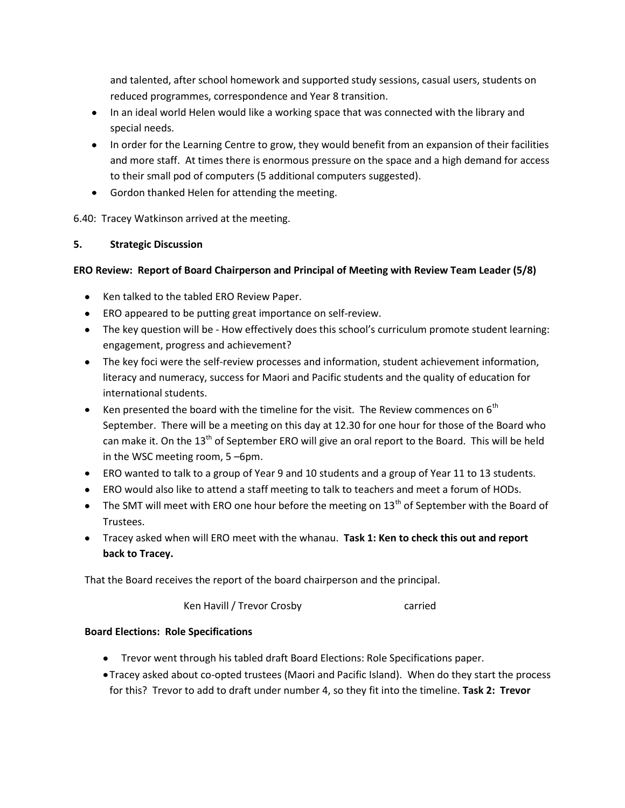and talented, after school homework and supported study sessions, casual users, students on reduced programmes, correspondence and Year 8 transition.

- In an ideal world Helen would like a working space that was connected with the library and special needs.
- In order for the Learning Centre to grow, they would benefit from an expansion of their facilities and more staff. At times there is enormous pressure on the space and a high demand for access to their small pod of computers (5 additional computers suggested).
- Gordon thanked Helen for attending the meeting.

6.40: Tracey Watkinson arrived at the meeting.

# **5. Strategic Discussion**

# **ERO Review: Report of Board Chairperson and Principal of Meeting with Review Team Leader (5/8)**

- Ken talked to the tabled ERO Review Paper.
- ERO appeared to be putting great importance on self-review.
- The key question will be How effectively does this school's curriculum promote student learning: engagement, progress and achievement?
- The key foci were the self-review processes and information, student achievement information, literacy and numeracy, success for Maori and Pacific students and the quality of education for international students.
- EXCHE Ken presented the board with the timeline for the visit. The Review commences on  $6<sup>th</sup>$ September. There will be a meeting on this day at 12.30 for one hour for those of the Board who can make it. On the 13<sup>th</sup> of September ERO will give an oral report to the Board. This will be held in the WSC meeting room, 5 –6pm.
- ERO wanted to talk to a group of Year 9 and 10 students and a group of Year 11 to 13 students.
- ERO would also like to attend a staff meeting to talk to teachers and meet a forum of HODs.
- The SMT will meet with ERO one hour before the meeting on  $13<sup>th</sup>$  of September with the Board of Trustees.
- Tracey asked when will ERO meet with the whanau. **Task 1: Ken to check this out and report back to Tracey.**

That the Board receives the report of the board chairperson and the principal.

Ken Havill / Trevor Crosby carried

# **Board Elections: Role Specifications**

- Trevor went through his tabled draft Board Elections: Role Specifications paper.
- Tracey asked about co-opted trustees (Maori and Pacific Island). When do they start the process for this? Trevor to add to draft under number 4, so they fit into the timeline. **Task 2: Trevor**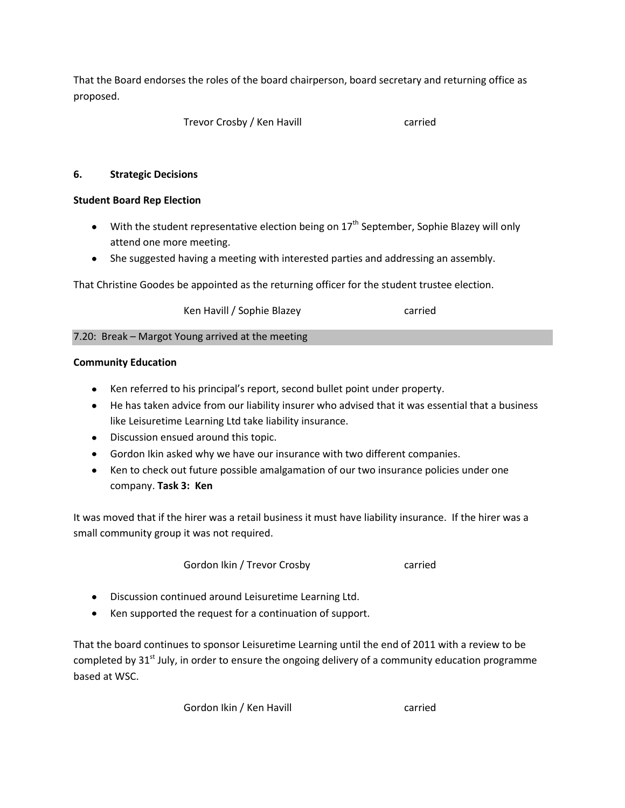That the Board endorses the roles of the board chairperson, board secretary and returning office as proposed.

Trevor Crosby / Ken Havill **carried** carried

## **6. Strategic Decisions**

## **Student Board Rep Election**

- $\bullet$  With the student representative election being on 17<sup>th</sup> September, Sophie Blazey will only attend one more meeting.
- She suggested having a meeting with interested parties and addressing an assembly.

That Christine Goodes be appointed as the returning officer for the student trustee election.

Ken Havill / Sophie Blazey **carried** 

7.20: Break – Margot Young arrived at the meeting

## **Community Education**

- Ken referred to his principal's report, second bullet point under property.
- He has taken advice from our liability insurer who advised that it was essential that a business like Leisuretime Learning Ltd take liability insurance.
- Discussion ensued around this topic.
- Gordon Ikin asked why we have our insurance with two different companies.
- Ken to check out future possible amalgamation of our two insurance policies under one company. **Task 3: Ken**

It was moved that if the hirer was a retail business it must have liability insurance. If the hirer was a small community group it was not required.

Gordon Ikin / Trevor Crosby Carried

- Discussion continued around Leisuretime Learning Ltd.
- Ken supported the request for a continuation of support.

That the board continues to sponsor Leisuretime Learning until the end of 2011 with a review to be completed by  $31<sup>st</sup>$  July, in order to ensure the ongoing delivery of a community education programme based at WSC.

Gordon Ikin / Ken Havill **Carried** carried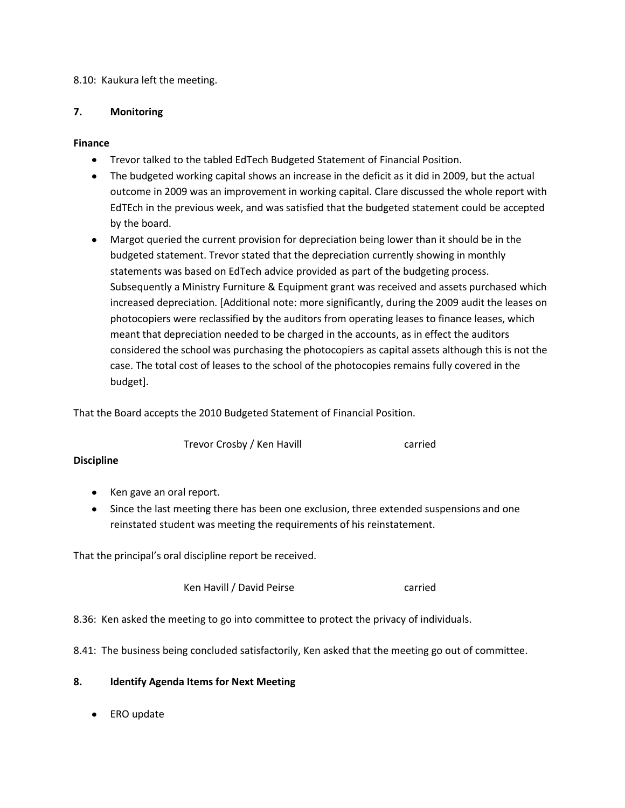## 8.10: Kaukura left the meeting.

#### **7. Monitoring**

## **Finance**

- $\bullet$ Trevor talked to the tabled EdTech Budgeted Statement of Financial Position.
- The budgeted working capital shows an increase in the deficit as it did in 2009, but the actual outcome in 2009 was an improvement in working capital. Clare discussed the whole report with EdTEch in the previous week, and was satisfied that the budgeted statement could be accepted by the board.
- Margot queried the current provision for depreciation being lower than it should be in the budgeted statement. Trevor stated that the depreciation currently showing in monthly statements was based on EdTech advice provided as part of the budgeting process. Subsequently a Ministry Furniture & Equipment grant was received and assets purchased which increased depreciation. [Additional note: more significantly, during the 2009 audit the leases on photocopiers were reclassified by the auditors from operating leases to finance leases, which meant that depreciation needed to be charged in the accounts, as in effect the auditors considered the school was purchasing the photocopiers as capital assets although this is not the case. The total cost of leases to the school of the photocopies remains fully covered in the budget].

That the Board accepts the 2010 Budgeted Statement of Financial Position.

Trevor Crosby / Ken Havill **Carried** carried

## **Discipline**

- Ken gave an oral report.
- Since the last meeting there has been one exclusion, three extended suspensions and one reinstated student was meeting the requirements of his reinstatement.

That the principal's oral discipline report be received.

Ken Havill / David Peirse Carried

8.36: Ken asked the meeting to go into committee to protect the privacy of individuals.

8.41: The business being concluded satisfactorily, Ken asked that the meeting go out of committee.

## **8. Identify Agenda Items for Next Meeting**

ERO update